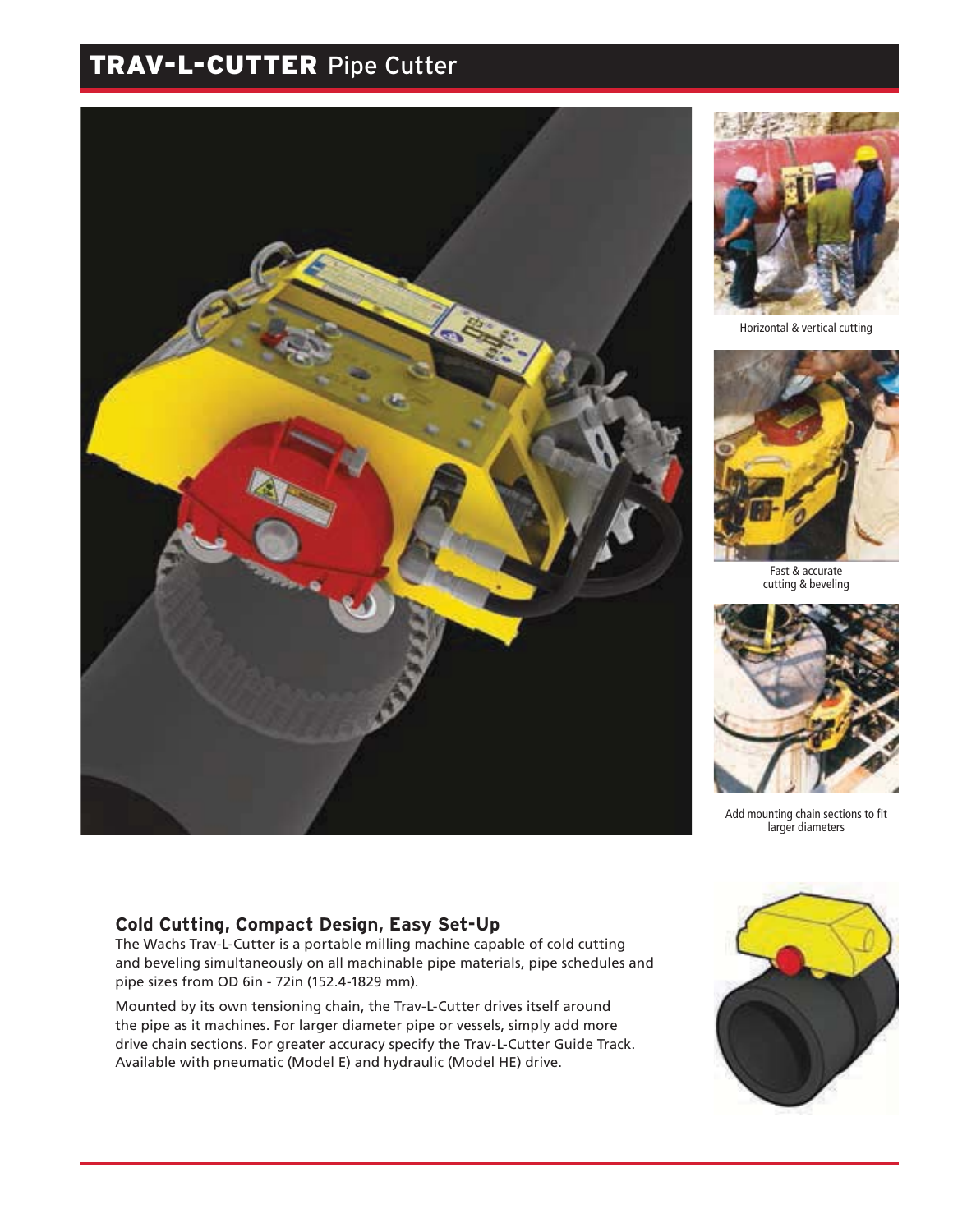# TRAV-L-CUTTER Pipe Cutter





Horizontal & vertical cutting



Fast & accurate cutting & beveling



Add mounting chain sections to fit larger diameters

#### **Cold Cutting, Compact Design, Easy Set-Up**

The Wachs Trav-L-Cutter is a portable milling machine capable of cold cutting and beveling simultaneously on all machinable pipe materials, pipe schedules and pipe sizes from OD 6in - 72in (152.4-1829 mm).

Mounted by its own tensioning chain, the Trav-L-Cutter drives itself around the pipe as it machines. For larger diameter pipe or vessels, simply add more drive chain sections. For greater accuracy specify the Trav-L-Cutter Guide Track. Available with pneumatic (Model E) and hydraulic (Model HE) drive.

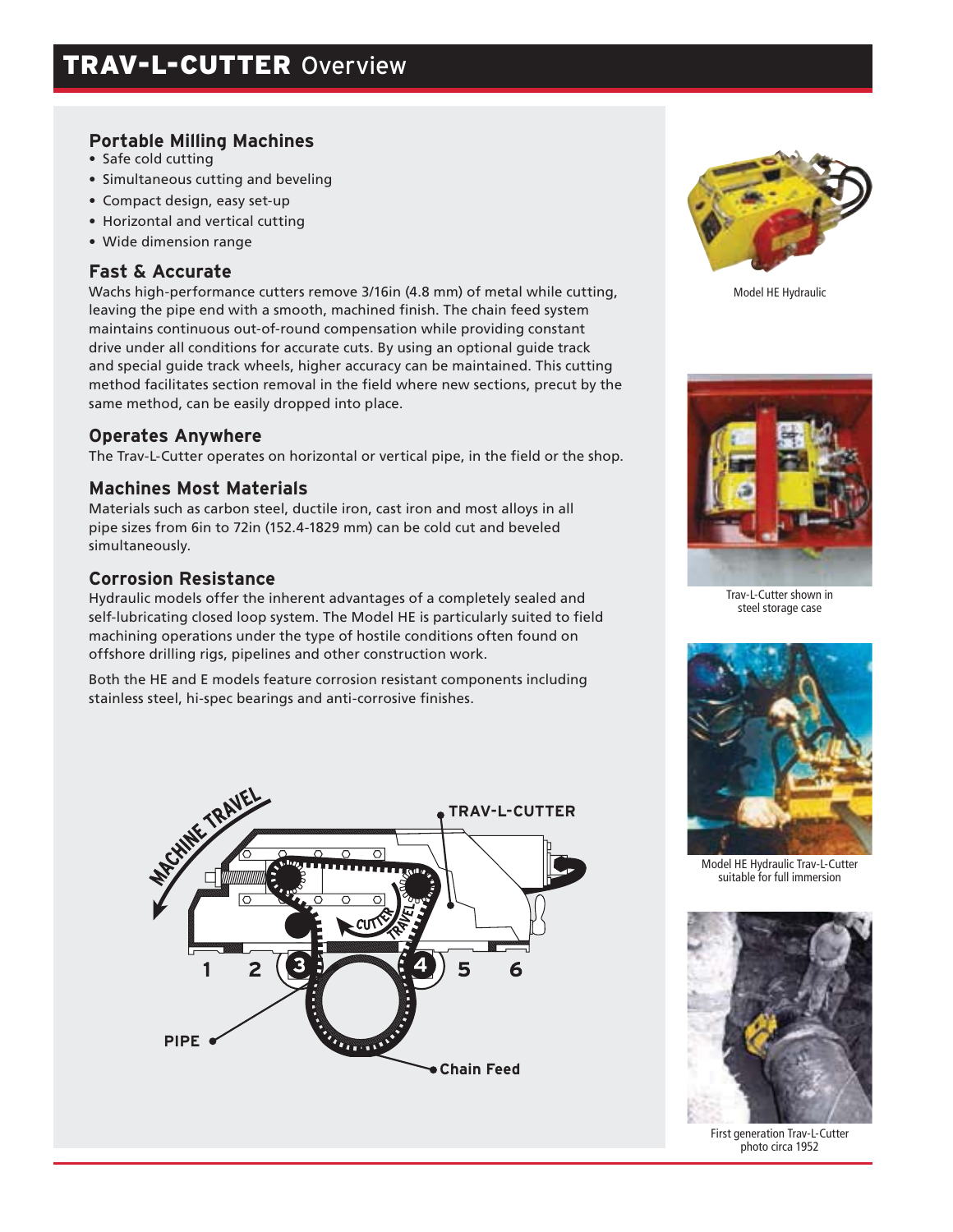# **Portable Milling Machines**

- Safe cold cutting
- Simultaneous cutting and beveling
- Compact design, easy set-up
- Horizontal and vertical cutting
- Wide dimension range

# **Fast & Accurate**

Wachs high-performance cutters remove 3/16in (4.8 mm) of metal while cutting, leaving the pipe end with a smooth, machined finish. The chain feed system maintains continuous out-of-round compensation while providing constant drive under all conditions for accurate cuts. By using an optional guide track and special guide track wheels, higher accuracy can be maintained. This cutting method facilitates section removal in the field where new sections, precut by the same method, can be easily dropped into place.

#### **Operates Anywhere**

The Trav-L-Cutter operates on horizontal or vertical pipe, in the field or the shop.

#### **Machines Most Materials**

Materials such as carbon steel, ductile iron, cast iron and most alloys in all pipe sizes from 6in to 72in (152.4-1829 mm) can be cold cut and beveled simultaneously.

#### **Corrosion Resistance**

Hydraulic models offer the inherent advantages of a completely sealed and self-lubricating closed loop system. The Model HE is particularly suited to field machining operations under the type of hostile conditions often found on offshore drilling rigs, pipelines and other construction work.

Both the HE and E models feature corrosion resistant components including stainless steel, hi-spec bearings and anti-corrosive finishes.





Model HE Hydraulic



Trav-L-Cutter shown in steel storage case



Model HE Hydraulic Trav-L-Cutter suitable for full immersion



First generation Trav-L-Cutter photo circa 1952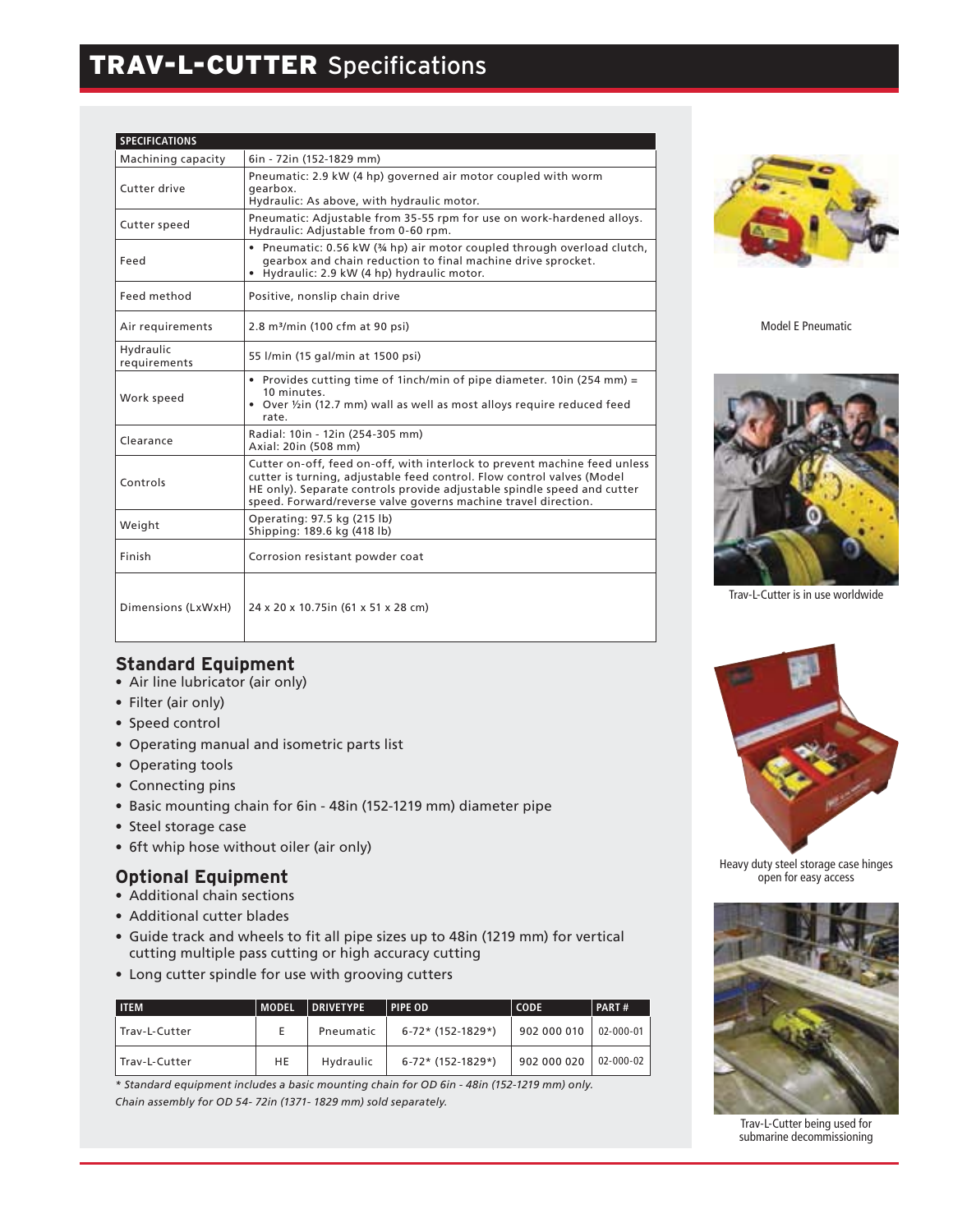# TRAV-L-CUTTER Specifications

| <b>SPECIFICATIONS</b>     |                                                                                                                                                                                                                                                                                                  |
|---------------------------|--------------------------------------------------------------------------------------------------------------------------------------------------------------------------------------------------------------------------------------------------------------------------------------------------|
| Machining capacity        | 6in - 72in (152-1829 mm)                                                                                                                                                                                                                                                                         |
| Cutter drive              | Pneumatic: 2.9 kW (4 hp) governed air motor coupled with worm<br>gearbox.<br>Hydraulic: As above, with hydraulic motor.                                                                                                                                                                          |
| Cutter speed              | Pneumatic: Adjustable from 35-55 rpm for use on work-hardened alloys.<br>Hydraulic: Adjustable from 0-60 rpm.                                                                                                                                                                                    |
| Feed                      | • Pneumatic: 0.56 kW (34 hp) air motor coupled through overload clutch,<br>gearbox and chain reduction to final machine drive sprocket.<br>• Hydraulic: 2.9 kW (4 hp) hydraulic motor.                                                                                                           |
| Feed method               | Positive, nonslip chain drive                                                                                                                                                                                                                                                                    |
| Air requirements          | 2.8 m <sup>3</sup> /min (100 cfm at 90 psi)                                                                                                                                                                                                                                                      |
| Hydraulic<br>requirements | 55 l/min (15 gal/min at 1500 psi)                                                                                                                                                                                                                                                                |
| Work speed                | • Provides cutting time of 1 inch/min of pipe diameter. 10 in (254 mm) =<br>10 minutes.<br>• Over 1/2 in (12.7 mm) wall as well as most alloys require reduced feed<br>rate.                                                                                                                     |
| Clearance                 | Radial: 10in - 12in (254-305 mm)<br>Axial: 20in (508 mm)                                                                                                                                                                                                                                         |
| Controls                  | Cutter on-off, feed on-off, with interlock to prevent machine feed unless<br>cutter is turning, adjustable feed control. Flow control valves (Model<br>HE only). Separate controls provide adjustable spindle speed and cutter<br>speed. Forward/reverse valve governs machine travel direction. |
| Weight                    | Operating: 97.5 kg (215 lb)<br>Shipping: 189.6 kg (418 lb)                                                                                                                                                                                                                                       |
| Finish                    | Corrosion resistant powder coat                                                                                                                                                                                                                                                                  |
| Dimensions (LxWxH)        | 24 x 20 x 10.75 in (61 x 51 x 28 cm)                                                                                                                                                                                                                                                             |



Model E Pneumatic



Trav-L-Cutter is in use worldwide

# **Standard Equipment**

- Air line lubricator (air only)
- Filter (air only)
- Speed control
- Operating manual and isometric parts list
- Operating tools
- Connecting pins
- Basic mounting chain for 6in 48in (152-1219 mm) diameter pipe
- Steel storage case
- 6ft whip hose without oiler (air only)

#### **Optional Equipment**

- Additional chain sections
- Additional cutter blades
- Guide track and wheels to fit all pipe sizes up to 48in (1219 mm) for vertical cutting multiple pass cutting or high accuracy cutting
- Long cutter spindle for use with grooving cutters

| <b>ITEM</b>     | <b>MODEL</b> | <b>DRIVETYPE</b> | <b>PIPE OD</b>    | <b>CODE</b> | PART#           |
|-----------------|--------------|------------------|-------------------|-------------|-----------------|
| l Trav-L-Cutter |              | Pneumatic        | 6-72* (152-1829*) | 902 000 010 | $02 - 000 - 01$ |
| l Trav-L-Cutter | HE           | Hydraulic        | 6-72* (152-1829*) | 902 000 020 | $02 - 000 - 02$ |

*\* Standard equipment includes a basic mounting chain for OD 6in - 48in (152-1219 mm) only. Chain assembly for OD 54- 72in (1371- 1829 mm) sold separately.*



Heavy duty steel storage case hinges open for easy access



Trav-L-Cutter being used for submarine decommissioning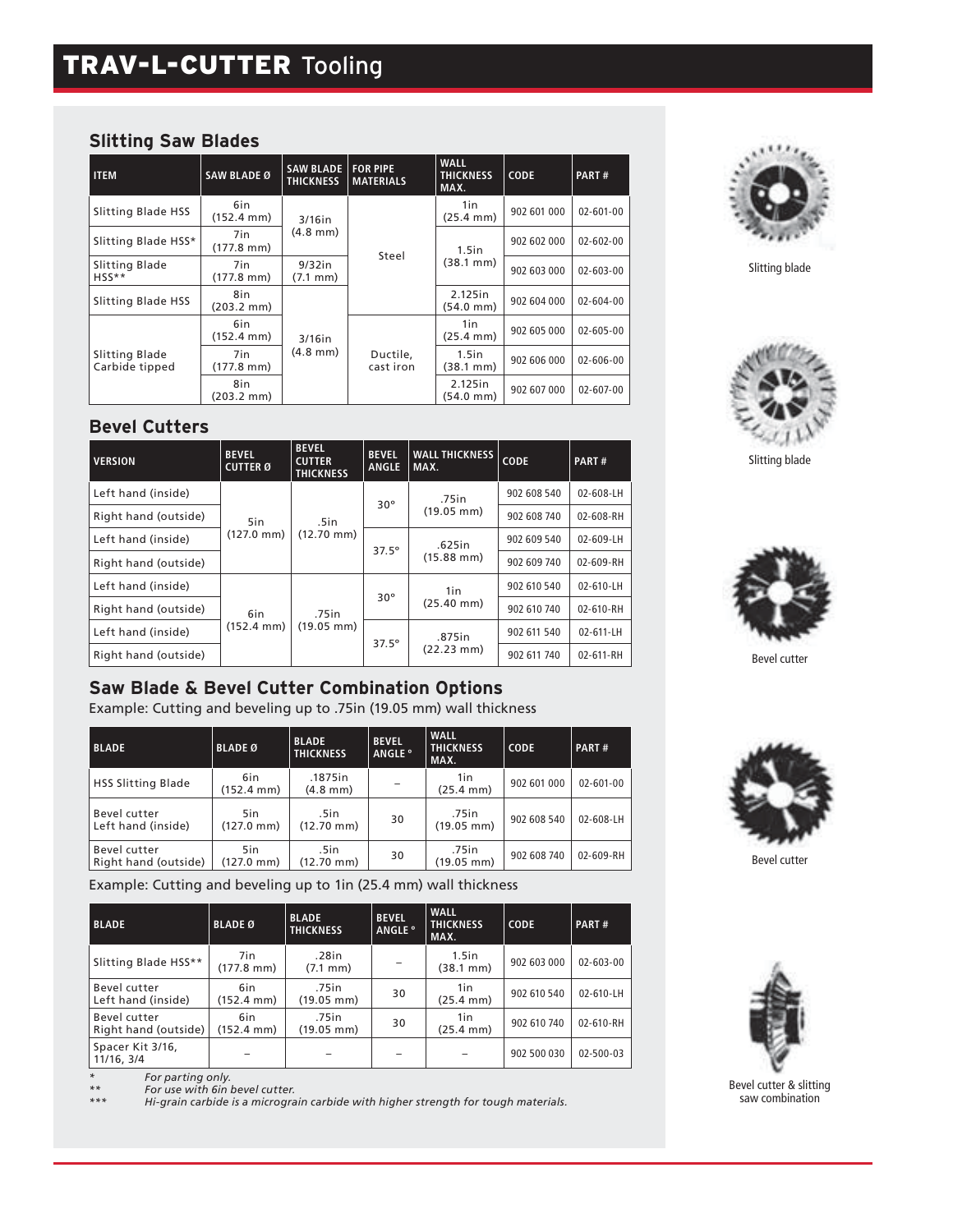# TRAV-L-CUTTER Tooling

## **Slitting Saw Blades**

**Bevel Cutters**

Left hand (inside)

Left hand (inside)

Left hand (inside)

Left hand (inside)

**VERSION BEVEL** 

**CUTTER Ø**

5in (127.0 mm)

6in (152.4 mm)

| <b>ITEM</b>                      | <b>SAW BLADE Ø</b>          | <b>SAW BLADE   FOR PIPE</b><br><b>THICKNESS</b> | <b>MATERIALS</b>      | <b>WALL</b><br><b>THICKNESS</b><br>MAX. | <b>CODE</b>          | PART#                        |                 |
|----------------------------------|-----------------------------|-------------------------------------------------|-----------------------|-----------------------------------------|----------------------|------------------------------|-----------------|
| Slitting Blade HSS               | 6in<br>$(152.4 \text{ mm})$ | $3/16$ in                                       |                       | 1in<br>$(25.4 \text{ mm})$              | 902 601 000          | $02 - 601 - 00$              |                 |
| Slitting Blade HSS*              | 7in<br>$(177.8 \text{ mm})$ | $(4.8 \text{ mm})$                              | Steel                 | $1.5$ in                                | 902 602 000          | 02-602-00                    |                 |
| Slitting Blade<br>$HSS**$        | 7in<br>$(177.8 \text{ mm})$ | $9/32$ in<br>$(7.1 \, \text{mm})$               |                       | $(38.1 \text{ mm})$                     | 902 603 000          | $02 - 603 - 00$              |                 |
| Slitting Blade HSS               | 8in<br>$(203.2 \text{ mm})$ | $3/16$ in                                       |                       |                                         | 2.125in<br>(54.0 mm) | 902 604 000                  | $02 - 604 - 00$ |
|                                  | 6in<br>$(152.4 \text{ mm})$ |                                                 |                       |                                         |                      | 1in<br>$(25.4 \, \text{mm})$ | 902 605 000     |
| Slitting Blade<br>Carbide tipped | 7in<br>$(177.8 \text{ mm})$ | $(4.8 \text{ mm})$                              | Ductile,<br>cast iron | $1.5$ in<br>(38.1 mm)                   | 902 606 000          | $02 - 606 - 00$              |                 |
|                                  | 8in<br>$(203.2 \text{ mm})$ |                                                 |                       | 2.125in<br>(54.0 mm)                    | 902 607 000          | 02-607-00                    |                 |

**BEVEL ANGLE** 

75in. 30°<br>(19.05 mm)

 $30^{\circ}$   $\begin{array}{c} 1 \text{in} \\ (25.40 \text{ mm}) \end{array}$ 

875in .<br>(22.23 mm)

(15.88 mm)

 $37.5^\circ$  .625in

 $\begin{array}{|c|c|c|}\n\hline\n\text{WALL THICKNESS} & \text{CODE} & \text{PART \#} \\
\hline\n\text{MAX.} & & & \end{array}$ 

902 608 540 02-608-LH

902 609 540 02-609-LH

902 610 540 02-610-LH

902 611 540 02-611-LH



Slitting blade



Slitting blade



Bevel cutter

# **Saw Blade & Bevel Cutter Combination Options**

Example: Cutting and beveling up to .75in (19.05 mm) wall thickness

**BEVEL CUTTER THICKNESS**

.5in (12.70 mm)

.75in (19.05 mm)

Right hand (outside) 902 608 740 02-608-RH

Right hand (outside)  $\begin{vmatrix} 9.02609 & 740 \\ 7.88 & 15.88 \\ 7.60 & 9.2609 & 740 \end{vmatrix}$  02-609-RH

Right hand (outside) 902 610 740 02-610-RH

Right hand (outside)  $(22.23 \text{ mm})$  902 611 740 02-611-RH

| <b>BLADE</b>                         | <b>BLADE Ø</b>              | <b>BLADE</b><br><b>THICKNESS</b> | <b>BEVEL</b><br>ANGLE <sup>o</sup> | <b>WALL</b><br><b>THICKNESS</b><br>MAX. | <b>CODE</b> | PART#     |
|--------------------------------------|-----------------------------|----------------------------------|------------------------------------|-----------------------------------------|-------------|-----------|
| <b>HSS Slitting Blade</b>            | 6in<br>(152.4 mm)           | .1875in<br>$(4.8 \, \text{mm})$  |                                    | 1in<br>(25.4 mm)                        | 902 601 000 | 02-601-00 |
| Bevel cutter<br>Left hand (inside)   | 5in<br>$(127.0 \text{ mm})$ | .5in<br>$(12.70 \text{ mm})$     | 30                                 | .75in<br>$(19.05 \, \text{mm})$         | 902 608 540 | 02-608-LH |
| Bevel cutter<br>Right hand (outside) | 5in<br>(127.0 mm)           | .5in<br>(12.70 mm)               | 30                                 | .75in<br>$(19.05 \, \text{mm})$         | 902 608 740 | 02-609-RH |

Example: Cutting and beveling up to 1in (25.4 mm) wall thickness

| <b>BLADE</b>                         | <b>BLADE Ø</b>              | <b>BLADE</b><br><b>THICKNESS</b> | <b>BEVEL</b><br>ANGLE <sup>o</sup> | <b>WALL</b><br><b>THICKNESS</b><br>MAX. | <b>CODE</b> | PART#           |
|--------------------------------------|-----------------------------|----------------------------------|------------------------------------|-----------------------------------------|-------------|-----------------|
| Slitting Blade HSS**                 | 7in<br>$(177.8 \text{ mm})$ | .28in<br>$(7.1 \text{ mm})$      |                                    | $1.5$ in<br>$(38.1 \text{ mm})$         | 902 603 000 | $02 - 603 - 00$ |
| Bevel cutter<br>Left hand (inside)   | 6in<br>$(152.4 \text{ mm})$ | .75in<br>$(19.05 \text{ mm})$    | 30                                 | 1in<br>$(25.4 \, \text{mm})$            | 902 610 540 | $02 - 610 - LH$ |
| Bevel cutter<br>Right hand (outside) | 6in<br>$(152.4 \text{ mm})$ | .75 in<br>$(19.05 \text{ mm})$   | 30                                 | 1in<br>$(25.4 \text{ mm})$              | 902 610 740 | 02-610-RH       |
| Spacer Kit 3/16,<br>11/16, 3/4       |                             |                                  |                                    |                                         | 902 500 030 | $02 - 500 - 03$ |

*\* For parting only. \*\* For use with 6in bevel cutter.* 

*\*\*\* Hi-grain carbide is a micrograin carbide with higher strength for tough materials.*



Bevel cutter



Bevel cutter & slitting saw combination